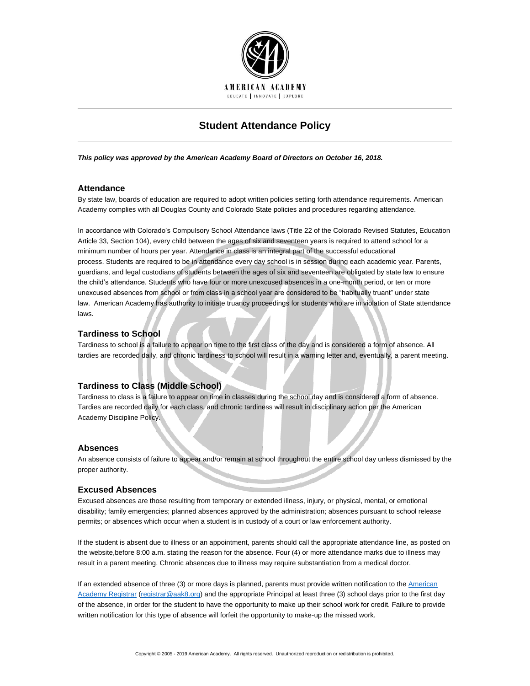

# **Student Attendance Policy**

*This policy was approved by the American Academy Board of Directors on October 16, 2018.*

## **Attendance**

By state law, boards of education are required to adopt written policies setting forth attendance requirements. American Academy complies with all Douglas County and Colorado State policies and procedures regarding attendance.

In accordance with Colorado's Compulsory School Attendance laws (Title 22 of the Colorado Revised Statutes, Education Article 33, Section 104), every child between the ages of six and seventeen years is required to attend school for a minimum number of hours per year. Attendance in class is an integral part of the successful educational process. Students are required to be in attendance every day school is in session during each academic year. Parents, guardians, and legal custodians of students between the ages of six and seventeen are obligated by state law to ensure the child's attendance. Students who have four or more unexcused absences in a one-month period, or ten or more unexcused absences from school or from class in a school year are considered to be "habitually truant" under state law. American Academy has authority to initiate truancy proceedings for students who are in violation of State attendance laws.

# **Tardiness to School**

Tardiness to school is a failure to appear on time to the first class of the day and is considered a form of absence. All tardies are recorded daily, and chronic tardiness to school will result in a warning letter and, eventually, a parent meeting.

## **Tardiness to Class (Middle School)**

Tardiness to class is a failure to appear on time in classes during the school day and is considered a form of absence. Tardies are recorded daily for each class, and chronic tardiness will result in disciplinary action per the American Academy Discipline Policy.

#### **Absences**

An absence consists of failure to appear and/or remain at school throughout the entire school day unless dismissed by the proper authority.

#### **Excused Absences**

Excused absences are those resulting from temporary or extended illness, injury, or physical, mental, or emotional disability; family emergencies; planned absences approved by the administration; absences pursuant to school release permits; or absences which occur when a student is in custody of a court or law enforcement authority.

If the student is absent due to illness or an appointment, parents should call the appropriate attendance line, as posted on the website,before 8:00 a.m. stating the reason for the absence. Four (4) or more attendance marks due to illness may result in a parent meeting. Chronic absences due to illness may require substantiation from a medical doctor.

If an extended absence of three (3) or more days is planned, parents must provide written notification to the American [Academy Registrar](mailto:registrar@aak8.org) [\(registrar@aak8.org\)](mailto:registrar@aak8.org) and the appropriate Principal at least three (3) school days prior to the first day of the absence, in order for the student to have the opportunity to make up their school work for credit. Failure to provide written notification for this type of absence will forfeit the opportunity to make-up the missed work.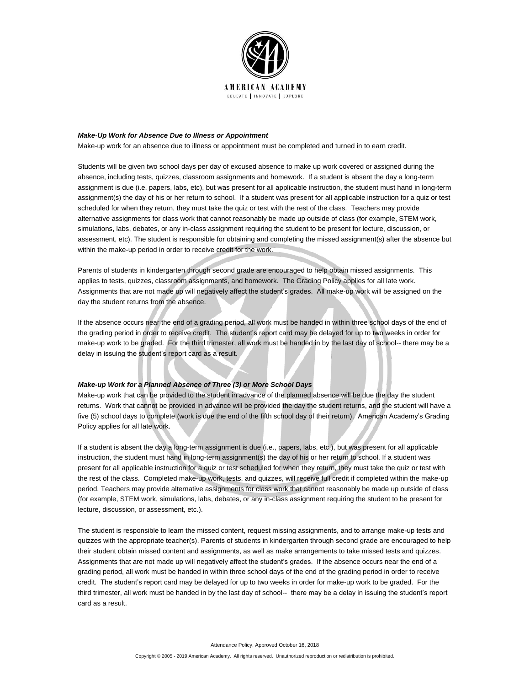

#### *Make-Up Work for Absence Due to Illness or Appointment*

Make-up work for an absence due to illness or appointment must be completed and turned in to earn credit.

Students will be given two school days per day of excused absence to make up work covered or assigned during the absence, including tests, quizzes, classroom assignments and homework. If a student is absent the day a long-term assignment is due (i.e. papers, labs, etc), but was present for all applicable instruction, the student must hand in long-term assignment(s) the day of his or her return to school. If a student was present for all applicable instruction for a quiz or test scheduled for when they return, they must take the quiz or test with the rest of the class. Teachers may provide alternative assignments for class work that cannot reasonably be made up outside of class (for example, STEM work, simulations, labs, debates, or any in-class assignment requiring the student to be present for lecture, discussion, or assessment, etc). The student is responsible for obtaining and completing the missed assignment(s) after the absence but within the make-up period in order to receive credit for the work.

Parents of students in kindergarten through second grade are encouraged to help obtain missed assignments. This applies to tests, quizzes, classroom assignments, and homework. The Grading Policy applies for all late work. Assignments that are not made up will negatively affect the student's grades. All make-up work will be assigned on the day the student returns from the absence.

If the absence occurs near the end of a grading period, all work must be handed in within three school days of the end of the grading period in order to receive credit. The student's report card may be delayed for up to two weeks in order for make-up work to be graded. For the third trimester, all work must be handed in by the last day of school-- there may be a delay in issuing the student's report card as a result.

#### *Make-up Work for a Planned Absence of Three (3) or More School Days*

Make-up work that can be provided to the student in advance of the planned absence will be due the day the student returns. Work that cannot be provided in advance will be provided the day the student returns, and the student will have a five (5) school days to complete (work is due the end of the fifth school day of their return). American Academy's Grading Policy applies for all late work.

If a student is absent the day a long-term assignment is due (i.e., papers, labs, etc.), but was present for all applicable instruction, the student must hand in long-term assignment(s) the day of his or her return to school. If a student was present for all applicable instruction for a quiz or test scheduled for when they return, they must take the quiz or test with the rest of the class. Completed make-up work, tests, and quizzes, will receive full credit if completed within the make-up period. Teachers may provide alternative assignments for class work that cannot reasonably be made up outside of class (for example, STEM work, simulations, labs, debates, or any in-class assignment requiring the student to be present for lecture, discussion, or assessment, etc.).

The student is responsible to learn the missed content, request missing assignments, and to arrange make-up tests and quizzes with the appropriate teacher(s). Parents of students in kindergarten through second grade are encouraged to help their student obtain missed content and assignments, as well as make arrangements to take missed tests and quizzes. Assignments that are not made up will negatively affect the student's grades. If the absence occurs near the end of a grading period, all work must be handed in within three school days of the end of the grading period in order to receive credit. The student's report card may be delayed for up to two weeks in order for make-up work to be graded. For the third trimester, all work must be handed in by the last day of school-- there may be a delay in issuing the student's report card as a result.